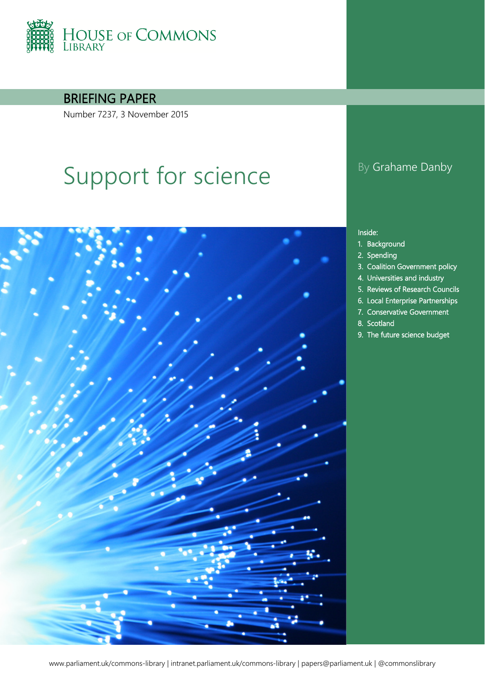

BRIEFING PAPER

Number 7237, 3 November 2015

# Support for science By Grahame Danby



#### Inside:

- 1. [Background](#page-3-0)
- 2. [Spending](#page-4-0)
- 3. [Coalition Government policy](#page-6-0)
- 4. [Universities and industry](#page-8-0)
- 5. [Reviews of Research Councils](#page-10-0)
- 6. [Local Enterprise Partnerships](#page-13-0)
- 7. [Conservative Government](#page-15-0)
- 8. [Scotland](#page-18-0)
- 9. [The future science budget](#page-20-0)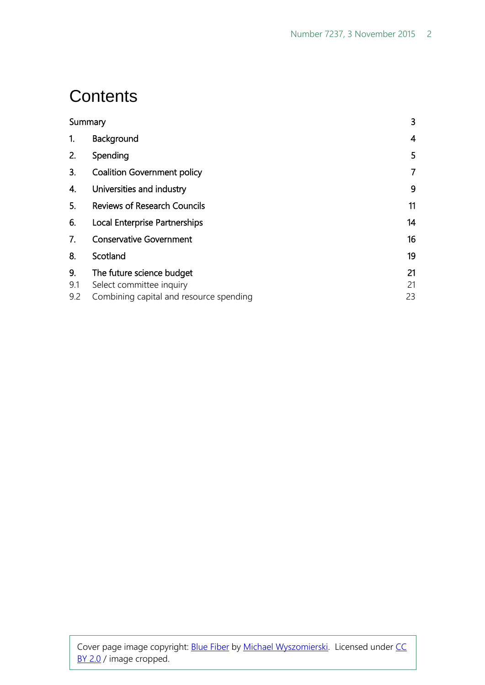### **Contents**

| Summary |                                         | 3              |
|---------|-----------------------------------------|----------------|
| 1.      | Background                              | 4              |
| 2.      | Spending                                | 5              |
| 3.      | <b>Coalition Government policy</b>      | $\overline{7}$ |
| 4.      | Universities and industry               | 9              |
| 5.      | <b>Reviews of Research Councils</b>     | 11             |
| 6.      | Local Enterprise Partnerships           | 14             |
| 7.      | <b>Conservative Government</b>          | 16             |
| 8.      | Scotland                                | 19             |
| 9.      | The future science budget               | 21             |
| 9.1     | Select committee inquiry                | 21             |
| 9.2     | Combining capital and resource spending | 23             |

Cover page image copyright: **Blue Fiber by Michael Wyszomierski**. Licensed under CC [BY 2.0](https://creativecommons.org/licenses/by-nc/2.0/) / image cropped.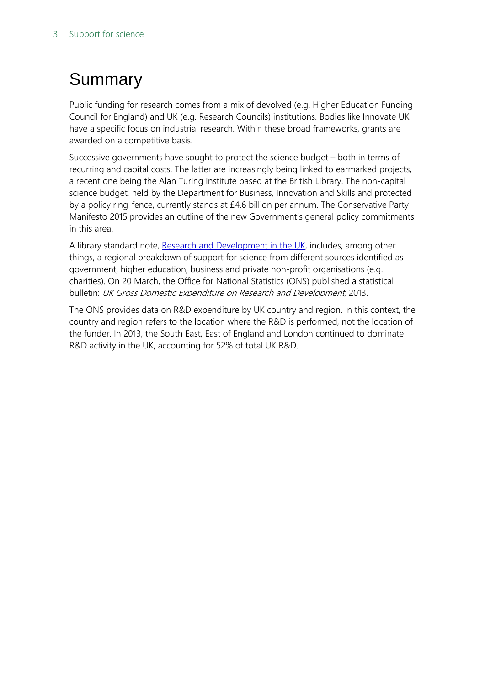### <span id="page-2-0"></span>Summary

Public funding for research comes from a mix of devolved (e.g. Higher Education Funding Council for England) and UK (e.g. Research Councils) institutions. Bodies like Innovate UK have a specific focus on industrial research. Within these broad frameworks, grants are awarded on a competitive basis.

Successive governments have sought to protect the science budget – both in terms of recurring and capital costs. The latter are increasingly being linked to earmarked projects, a recent one being the Alan Turing Institute based at the British Library. The non-capital science budget, held by the Department for Business, Innovation and Skills and protected by a policy ring-fence, currently stands at £4.6 billion per annum. The Conservative Party Manifesto 2015 provides an outline of the new Government's general policy commitments in this area.

A library standard note, [Research and Development in the UK,](http://researchbriefings.parliament.uk/ResearchBriefing/Summary/SN04223) includes, among other things, a regional breakdown of support for science from different sources identified as government, higher education, business and private non-profit organisations (e.g. charities). On 20 March, the Office for National Statistics (ONS) published a statistical bulletin: UK Gross Domestic Expenditure on Research and Development, 2013.

The ONS provides data on R&D expenditure by UK country and region. In this context, the country and region refers to the location where the R&D is performed, not the location of the funder. In 2013, the South East, East of England and London continued to dominate R&D activity in the UK, accounting for 52% of total UK R&D.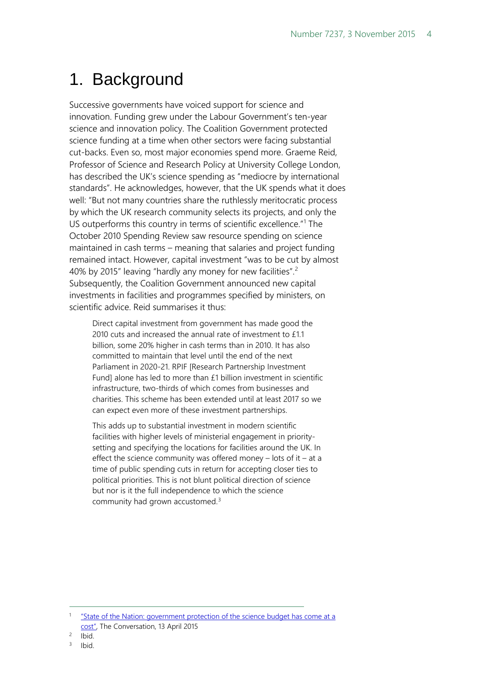### <span id="page-3-0"></span>1. Background

Successive governments have voiced support for science and innovation. Funding grew under the Labour Government's ten-year science and innovation policy. The Coalition Government protected science funding at a time when other sectors were facing substantial cut-backs. Even so, most major economies spend more. Graeme Reid, Professor of Science and Research Policy at University College London, has described the UK's science spending as "mediocre by international standards". He acknowledges, however, that the UK spends what it does well: "But not many countries share the ruthlessly meritocratic process by which the UK research community selects its projects, and only the US outperforms this country in terms of scientific excellence.<sup>"[1](#page-3-1)</sup> The October 2010 Spending Review saw resource spending on science maintained in cash terms – meaning that salaries and project funding remained intact. However, capital investment "was to be cut by almost 40% by [2](#page-3-2)015" leaving "hardly any money for new facilities".<sup>2</sup> Subsequently, the Coalition Government announced new capital investments in facilities and programmes specified by ministers, on scientific advice. Reid summarises it thus:

Direct capital investment from government has made good the 2010 cuts and increased the annual rate of investment to £1.1 billion, some 20% higher in cash terms than in 2010. It has also committed to maintain that level until the end of the next Parliament in 2020-21. RPIF [Research Partnership Investment Fund] alone has led to more than £1 billion investment in scientific infrastructure, two-thirds of which comes from businesses and charities. This scheme has been extended until at least 2017 so we can expect even more of these investment partnerships.

This adds up to substantial investment in modern scientific facilities with higher levels of ministerial engagement in prioritysetting and specifying the locations for facilities around the UK. In effect the science community was offered money  $-$  lots of it  $-$  at a time of public spending cuts in return for accepting closer ties to political priorities. This is not blunt political direction of science but nor is it the full independence to which the science community had grown accustomed.<sup>[3](#page-3-3)</sup>

<span id="page-3-1"></span><sup>&</sup>quot;State of the Nation: government protection of the science budget has come at a [cost",](https://theconversation.com/state-of-the-nation-government-protection-of-the-science-budget-has-come-at-a-cost-39751) The Conversation, 13 April 2015

<span id="page-3-2"></span><sup>2</sup> Ibid.

<span id="page-3-3"></span><sup>3</sup> Ibid.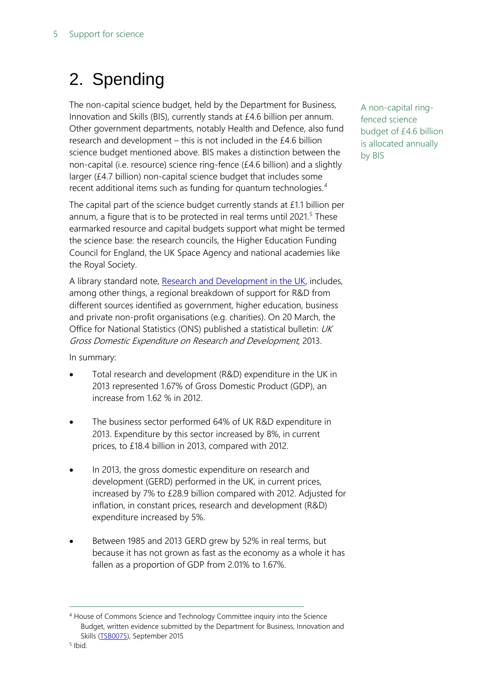### <span id="page-4-0"></span>2. Spending

The non-capital science budget, held by the Department for Business, Innovation and Skills (BIS), currently stands at £4.6 billion per annum. Other government departments, notably Health and Defence, also fund research and development – this is not included in the £4.6 billion science budget mentioned above. BIS makes a distinction between the non-capital (i.e. resource) science ring-fence (£4.6 billion) and a slightly larger (£4.7 billion) non-capital science budget that includes some recent additional items such as funding for quantum technologies.<sup>[4](#page-4-1)</sup>

The capital part of the science budget currently stands at £1.1 billion per annum, a figure that is to be protected in real terms until 2021.<sup>[5](#page-4-2)</sup> These earmarked resource and capital budgets support what might be termed the science base: the research councils, the Higher Education Funding Council for England, the UK Space Agency and national academies like the Royal Society.

A library standard note, [Research and Development in the UK,](http://researchbriefings.parliament.uk/ResearchBriefing/Summary/SN04223) includes, among other things, a regional breakdown of support for R&D from different sources identified as government, higher education, business and private non-profit organisations (e.g. charities). On 20 March, the Office for National Statistics (ONS) published a statistical bulletin: UK Gross Domestic Expenditure on Research and Development, 2013.

In summary:

- Total research and development (R&D) expenditure in the UK in 2013 represented 1.67% of Gross Domestic Product (GDP), an increase from 1.62 % in 2012.
- The business sector performed 64% of UK R&D expenditure in 2013. Expenditure by this sector increased by 8%, in current prices, to £18.4 billion in 2013, compared with 2012.
- In 2013, the gross domestic expenditure on research and development (GERD) performed in the UK, in current prices, increased by 7% to £28.9 billion compared with 2012. Adjusted for inflation, in constant prices, research and development (R&D) expenditure increased by 5%.
- Between 1985 and 2013 GERD grew by 52% in real terms, but because it has not grown as fast as the economy as a whole it has fallen as a proportion of GDP from 2.01% to 1.67%.

A non-capital ringfenced science budget of £4.6 billion is allocated annually by BIS

<span id="page-4-1"></span><sup>4</sup> House of Commons Science and Technology Committee inquiry into the Science Budget, written evidence submitted by the Department for Business, Innovation and Skills [\(TSB0075\)](http://data.parliament.uk/writtenevidence/committeeevidence.svc/evidencedocument/science-and-technology-committee/the-science-budget/written/20611.html), September 2015

<span id="page-4-2"></span><sup>5</sup> Ibid.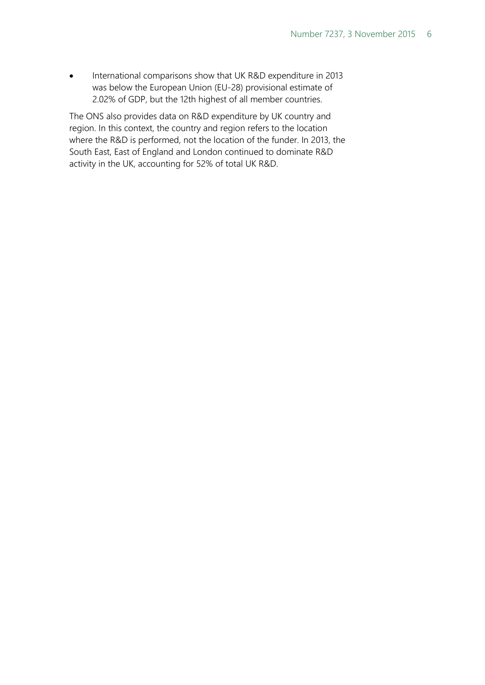• International comparisons show that UK R&D expenditure in 2013 was below the European Union (EU-28) provisional estimate of 2.02% of GDP, but the 12th highest of all member countries.

The ONS also provides data on R&D expenditure by UK country and region. In this context, the country and region refers to the location where the R&D is performed, not the location of the funder. In 2013, the South East, East of England and London continued to dominate R&D activity in the UK, accounting for 52% of total UK R&D.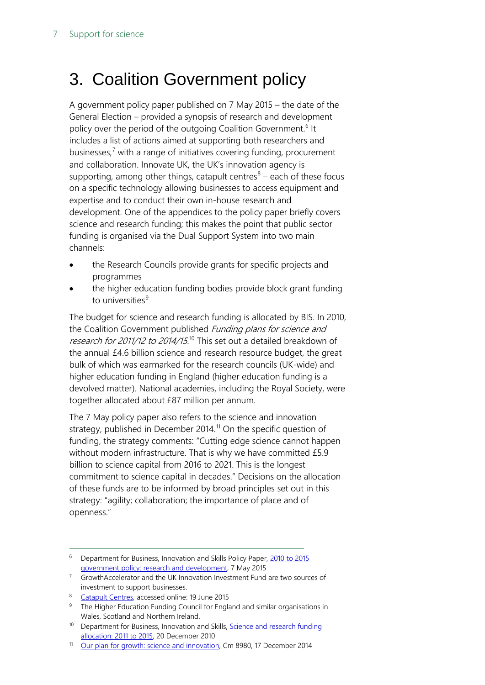### <span id="page-6-0"></span>3. Coalition Government policy

A government policy paper published on 7 May 2015 – the date of the General Election – provided a synopsis of research and development policy over the period of the outgoing Coalition Government.<sup>[6](#page-6-1)</sup> It includes a list of actions aimed at supporting both researchers and businesses, $<sup>7</sup>$  $<sup>7</sup>$  $<sup>7</sup>$  with a range of initiatives covering funding, procurement</sup> and collaboration. Innovate UK, the UK's innovation agency is supporting, among other things, catapult centres $8 8 -$ each of these focus on a specific technology allowing businesses to access equipment and expertise and to conduct their own in-house research and development. One of the appendices to the policy paper briefly covers science and research funding; this makes the point that public sector funding is organised via the Dual Support System into two main channels:

- the Research Councils provide grants for specific projects and programmes
- the higher education funding bodies provide block grant funding to universities<sup>[9](#page-6-4)</sup>

The budget for science and research funding is allocated by BIS. In 2010, the Coalition Government published Funding plans for science and *research for 2011/12 to 2014/15.*<sup>[10](#page-6-5)</sup> This set out a detailed breakdown of the annual £4.6 billion science and research resource budget, the great bulk of which was earmarked for the research councils (UK-wide) and higher education funding in England (higher education funding is a devolved matter). National academies, including the Royal Society, were together allocated about £87 million per annum.

The 7 May policy paper also refers to the science and innovation strategy, published in December 2014.<sup>[11](#page-6-6)</sup> On the specific question of funding, the strategy comments: "Cutting edge science cannot happen without modern infrastructure. That is why we have committed £5.9 billion to science capital from 2016 to 2021. This is the longest commitment to science capital in decades." Decisions on the allocation of these funds are to be informed by broad principles set out in this strategy: "agility; collaboration; the importance of place and of openness."

<span id="page-6-3"></span>8 [Catapult Centres,](https://www.catapult.org.uk/catapult-centres) accessed online: 19 June 2015

<span id="page-6-1"></span><sup>&</sup>lt;sup>6</sup> Department for Business, Innovation and Skills Policy Paper, 2010 to 2015 [government policy: research and development,](https://www.gov.uk/government/publications/2010-to-2015-government-policy-research-and-development/2010-to-2015-government-policy-research-and-development) 7 May 2015

<span id="page-6-2"></span><sup>7</sup> GrowthAccelerator and the UK Innovation Investment Fund are two sources of investment to support businesses.

<span id="page-6-4"></span><sup>9</sup> The Higher Education Funding Council for England and similar organisations in Wales, Scotland and Northern Ireland.

<span id="page-6-5"></span><sup>&</sup>lt;sup>10</sup> Department for Business, Innovation and Skills, **Science and research funding** [allocation: 2011 to 2015,](https://www.gov.uk/government/publications/allocation-of-science-and-research-funding-2011-12-to-2014-15) 20 December 2010

<span id="page-6-6"></span><sup>&</sup>lt;sup>11</sup> [Our plan for growth: science and innovation,](https://www.gov.uk/government/publications/our-plan-for-growth-science-and-innovation) Cm 8980, 17 December 2014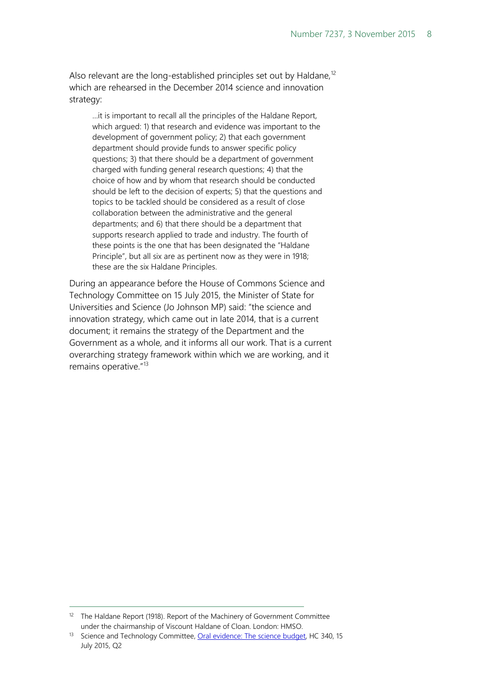Also relevant are the long-established principles set out by Haldane,<sup>[12](#page-7-0)</sup> which are rehearsed in the December 2014 science and innovation strategy:

…it is important to recall all the principles of the Haldane Report, which argued: 1) that research and evidence was important to the development of government policy; 2) that each government department should provide funds to answer specific policy questions; 3) that there should be a department of government charged with funding general research questions; 4) that the choice of how and by whom that research should be conducted should be left to the decision of experts; 5) that the questions and topics to be tackled should be considered as a result of close collaboration between the administrative and the general departments; and 6) that there should be a department that supports research applied to trade and industry. The fourth of these points is the one that has been designated the "Haldane Principle", but all six are as pertinent now as they were in 1918; these are the six Haldane Principles.

During an appearance before the House of Commons Science and Technology Committee on 15 July 2015, the Minister of State for Universities and Science (Jo Johnson MP) said: "the science and innovation strategy, which came out in late 2014, that is a current document; it remains the strategy of the Department and the Government as a whole, and it informs all our work. That is a current overarching strategy framework within which we are working, and it remains operative."<sup>[13](#page-7-1)</sup>

<span id="page-7-0"></span><sup>&</sup>lt;sup>12</sup> The Haldane Report (1918). Report of the Machinery of Government Committee under the chairmanship of Viscount Haldane of Cloan. London: HMSO.

<span id="page-7-1"></span><sup>&</sup>lt;sup>13</sup> Science and Technology Committee[, Oral evidence: The science budget,](http://data.parliament.uk/writtenevidence/committeeevidence.svc/evidencedocument/science-and-technology-committee/the-science-budget/oral/18733.html) HC 340, 15 July 2015, Q2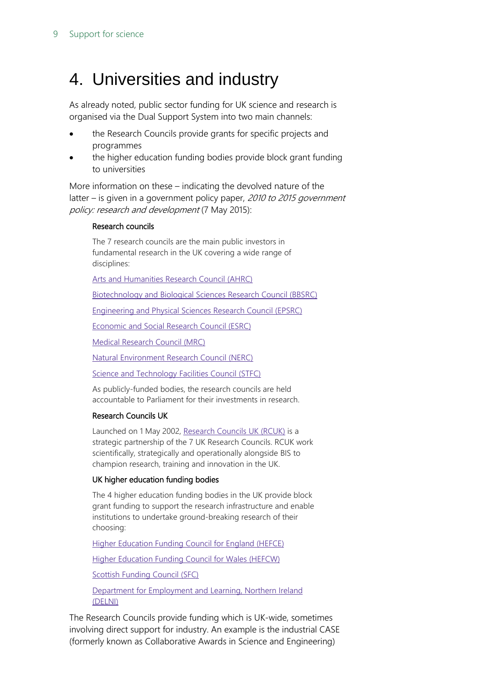### <span id="page-8-0"></span>4. Universities and industry

As already noted, public sector funding for UK science and research is organised via the Dual Support System into two main channels:

- the Research Councils provide grants for specific projects and programmes
- the higher education funding bodies provide block grant funding to universities

More information on these – indicating the devolved nature of the latter – is given in a government policy paper, 2010 to 2015 government policy: research and development (7 May 2015):

#### Research councils

The 7 research councils are the main public investors in fundamental research in the UK covering a wide range of disciplines:

Arts and [Humanities](http://www.ahrc.ac.uk/Pages/Home.aspx) Research Council (AHRC)

[Biotechnology](http://www.bbsrc.ac.uk/) and Biological Sciences Research Council (BBSRC)

[Engineering](http://www.epsrc.ac.uk/Pages/default.aspx) and Physical Sciences Research Council (EPSRC)

[Economic](http://www.esrc.ac.uk/) and Social Research Council (ESRC)

Medical [Research](http://www.mrc.ac.uk/index.htm) Council (MRC)

Natural [Environment](http://www.nerc.ac.uk/index.asp?cookieConsent=A) Research Council (NERC)

Science and [Technology](http://www.stfc.ac.uk/) Facilities Council (STFC)

As publicly-funded bodies, the research councils are held accountable to Parliament for their investments in research.

#### Research Councils UK

Launched on 1 May 2002, [Research](http://www.rcuk.ac.uk/Pages/Home.aspx) Councils UK (RCUK) is a strategic partnership of the 7 UK Research Councils. RCUK work scientifically, strategically and operationally alongside BIS to champion research, training and innovation in the UK.

#### UK higher education funding bodies

The 4 higher education funding bodies in the UK provide block grant funding to support the research infrastructure and enable institutions to undertake ground-breaking research of their choosing:

Higher [Education](http://www.hefce.ac.uk/) Funding Council for England (HEFCE)

Higher [Education](http://www.hefcw.ac.uk/) Funding Council for Wales (HEFCW)

Scottish [Funding](http://www.sfc.ac.uk/) Council (SFC)

Department for [Employment](http://www.delni.gov.uk/) and Learning, Northern Ireland [\(DELNI\)](http://www.delni.gov.uk/)

The Research Councils provide funding which is UK-wide, sometimes involving direct support for industry. An example is the industrial CASE (formerly known as Collaborative Awards in Science and Engineering)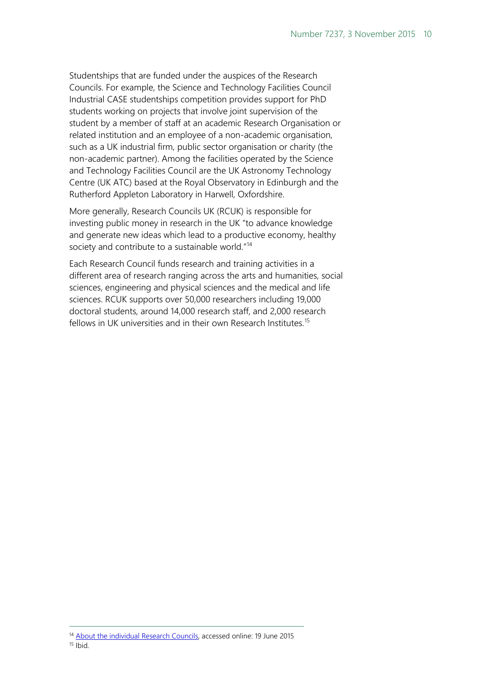Studentships that are funded under the auspices of the Research Councils. For example, the Science and Technology Facilities Council Industrial CASE studentships competition provides support for PhD students working on projects that involve joint supervision of the student by a member of staff at an academic Research Organisation or related institution and an employee of a non-academic organisation, such as a UK industrial firm, public sector organisation or charity (the non-academic partner). Among the facilities operated by the Science and Technology Facilities Council are the UK Astronomy Technology Centre (UK ATC) based at the Royal Observatory in Edinburgh and the Rutherford Appleton Laboratory in Harwell, Oxfordshire.

More generally, Research Councils UK (RCUK) is responsible for investing public money in research in the UK "to advance knowledge and generate new ideas which lead to a productive economy, healthy society and contribute to a sustainable world."<sup>[14](#page-9-0)</sup>

Each Research Council funds research and training activities in a different area of research ranging across the arts and humanities, social sciences, engineering and physical sciences and the medical and life sciences. RCUK supports over 50,000 researchers including 19,000 doctoral students, around 14,000 research staff, and 2,000 research fellows in UK universities and in their own Research Institutes.<sup>[15](#page-9-1)</sup>

<span id="page-9-1"></span><span id="page-9-0"></span><sup>&</sup>lt;sup>14</sup> [About the individual Research Councils,](http://www.rcuk.ac.uk/about/aboutrcs/) accessed online: 19 June 2015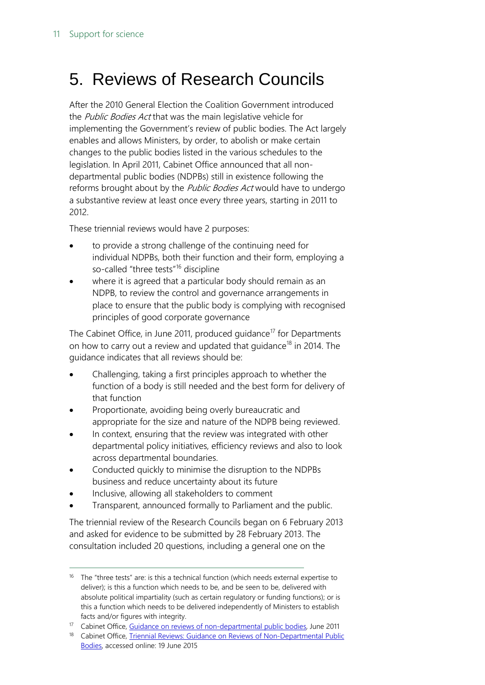### <span id="page-10-0"></span>5. Reviews of Research Councils

After the 2010 General Election the Coalition Government introduced the Public Bodies Act that was the main legislative vehicle for implementing the Government's review of public bodies. The Act largely enables and allows Ministers, by order, to abolish or make certain changes to the public bodies listed in the various schedules to the legislation. In April 2011, Cabinet Office announced that all nondepartmental public bodies (NDPBs) still in existence following the reforms brought about by the Public Bodies Act would have to undergo a substantive review at least once every three years, starting in 2011 to 2012.

These triennial reviews would have 2 purposes:

- to provide a strong challenge of the continuing need for individual NDPBs, both their function and their form, employing a so-called "three tests"<sup>[16](#page-10-1)</sup> discipline
- where it is agreed that a particular body should remain as an NDPB, to review the control and governance arrangements in place to ensure that the public body is complying with recognised principles of good corporate governance

The Cabinet Office, in June 2011, produced quidance<sup>[17](#page-10-2)</sup> for Departments on how to carry out a review and updated that guidance<sup>[18](#page-10-3)</sup> in 2014. The guidance indicates that all reviews should be:

- Challenging, taking a first principles approach to whether the function of a body is still needed and the best form for delivery of that function
- Proportionate, avoiding being overly bureaucratic and appropriate for the size and nature of the NDPB being reviewed.
- In context, ensuring that the review was integrated with other departmental policy initiatives, efficiency reviews and also to look across departmental boundaries.
- Conducted quickly to minimise the disruption to the NDPBs business and reduce uncertainty about its future
- Inclusive, allowing all stakeholders to comment

 $\overline{a}$ 

• Transparent, announced formally to Parliament and the public.

The triennial review of the Research Councils began on 6 February 2013 and asked for evidence to be submitted by 28 February 2013. The consultation included 20 questions, including a general one on the

<span id="page-10-1"></span><sup>&</sup>lt;sup>16</sup> The "three tests" are: is this a technical function (which needs external expertise to deliver); is this a function which needs to be, and be seen to be, delivered with absolute political impartiality (such as certain regulatory or funding functions); or is this a function which needs to be delivered independently of Ministers to establish facts and/or figures with integrity.

<span id="page-10-2"></span><sup>&</sup>lt;sup>17</sup> Cabinet Office[, Guidance on reviews of non-departmental public bodies,](http://resources.civilservice.gov.uk/wp-content/uploads/2011/09/triennial-reviews-guidance-2011_tcm6-38900.pdf) June 2011

<span id="page-10-3"></span><sup>&</sup>lt;sup>18</sup> Cabinet Office, *Triennial Reviews: Guidance on Reviews of Non-Departmental Public* [Bodies,](https://www.gov.uk/government/uploads/system/uploads/attachment_data/file/332147/Triennial_Reviews_Guidance.pdf) accessed online: 19 June 2015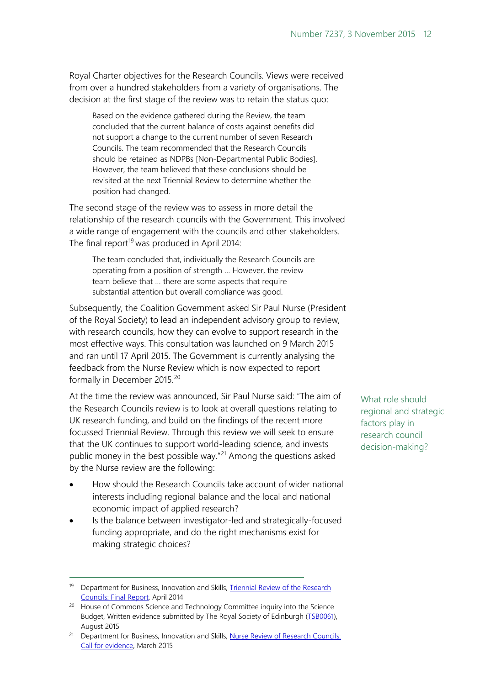Royal Charter objectives for the Research Councils. Views were received from over a hundred stakeholders from a variety of organisations. The decision at the first stage of the review was to retain the status quo:

Based on the evidence gathered during the Review, the team concluded that the current balance of costs against benefits did not support a change to the current number of seven Research Councils. The team recommended that the Research Councils should be retained as NDPBs [Non-Departmental Public Bodies]. However, the team believed that these conclusions should be revisited at the next Triennial Review to determine whether the position had changed.

The second stage of the review was to assess in more detail the relationship of the research councils with the Government. This involved a wide range of engagement with the councils and other stakeholders. The final report<sup>[19](#page-11-0)</sup> was produced in April 2014:

The team concluded that, individually the Research Councils are operating from a position of strength … However, the review team believe that … there are some aspects that require substantial attention but overall compliance was good.

Subsequently, the Coalition Government asked Sir Paul Nurse (President of the Royal Society) to lead an independent advisory group to review, with research councils, how they can evolve to support research in the most effective ways. This consultation was launched on 9 March 2015 and ran until 17 April 2015. The Government is currently analysing the feedback from the Nurse Review which is now expected to report formally in December [20](#page-11-1)15.<sup>20</sup>

At the time the review was announced, Sir Paul Nurse said: "The aim of the Research Councils review is to look at overall questions relating to UK research funding, and build on the findings of the recent more focussed Triennial Review. Through this review we will seek to ensure that the UK continues to support world-leading science, and invests public money in the best possible way."<sup>[21](#page-11-2)</sup> Among the questions asked by the Nurse review are the following:

- How should the Research Councils take account of wider national interests including regional balance and the local and national economic impact of applied research?
- Is the balance between investigator-led and strategically-focused funding appropriate, and do the right mechanisms exist for making strategic choices?

 $\overline{a}$ 

What role should regional and strategic factors play in research council decision-making?

<span id="page-11-0"></span><sup>&</sup>lt;sup>19</sup> Department for Business, Innovation and Skills, Triennial Review of the Research

<span id="page-11-1"></span>[Councils: Final Report,](https://www.gov.uk/government/uploads/system/uploads/attachment_data/file/303327/bis-14-746-triennial-review-of-the-research-councils.pdf) April 2014 20 House of Commons Science and Technology Committee inquiry into the Science Budget, Written evidence submitted by The Royal Society of Edinburgh [\(TSB0061\)](http://data.parliament.uk/writtenevidence/committeeevidence.svc/evidencedocument/science-and-technology-committee/the-science-budget/written/20120.html), August 2015

<span id="page-11-2"></span><sup>&</sup>lt;sup>21</sup> Department for Business, Innovation and Skills, Nurse Review of Research Councils: [Call for evidence,](https://www.gov.uk/government/uploads/system/uploads/attachment_data/file/410025/bis-15-126-nurse-review-of-research-councils-call-for-evidence.pdf) March 2015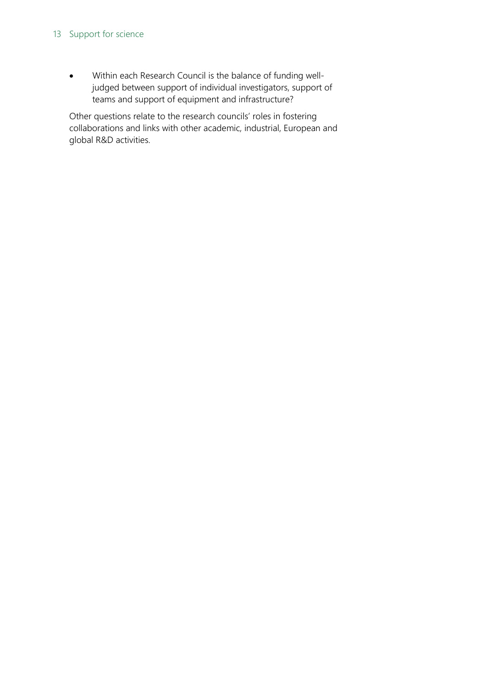#### 13 Support for science

• Within each Research Council is the balance of funding welljudged between support of individual investigators, support of teams and support of equipment and infrastructure?

Other questions relate to the research councils' roles in fostering collaborations and links with other academic, industrial, European and global R&D activities.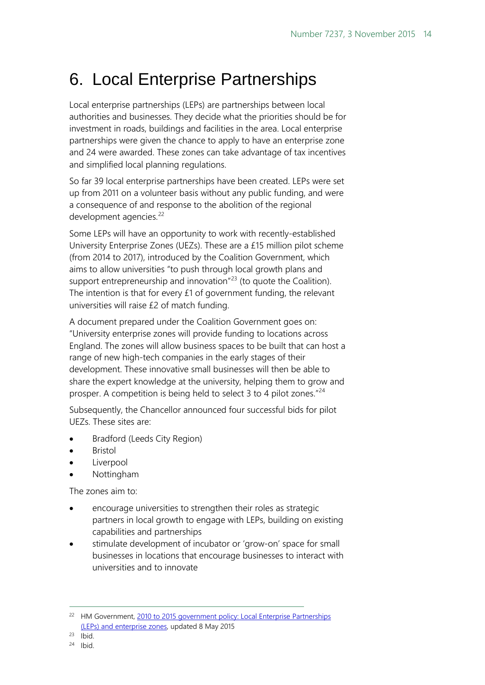### <span id="page-13-0"></span>6. Local Enterprise Partnerships

Local enterprise partnerships (LEPs) are partnerships between local authorities and businesses. They decide what the priorities should be for investment in roads, buildings and facilities in the area. Local enterprise partnerships were given the chance to apply to have an enterprise zone and 24 were awarded. These zones can take advantage of tax incentives and simplified local planning regulations.

So far 39 local enterprise partnerships have been created. LEPs were set up from 2011 on a volunteer basis without any public funding, and were a consequence of and response to the abolition of the regional development agencies.<sup>[22](#page-13-1)</sup>

Some LEPs will have an opportunity to work with recently-established University Enterprise Zones (UEZs). These are a £15 million pilot scheme (from 2014 to 2017), introduced by the Coalition Government, which aims to allow universities "to push through local growth plans and support entrepreneurship and innovation $n^{23}$  $n^{23}$  $n^{23}$  (to quote the Coalition). The intention is that for every £1 of government funding, the relevant universities will raise £2 of match funding.

A document prepared under the Coalition Government goes on: "University enterprise zones will provide funding to locations across England. The zones will allow business spaces to be built that can host a range of new high-tech companies in the early stages of their development. These innovative small businesses will then be able to share the expert knowledge at the university, helping them to grow and prosper. A competition is being held to select 3 to 4 pilot zones." $^{24}$  $^{24}$  $^{24}$ 

Subsequently, the Chancellor announced four successful bids for pilot UEZs. These sites are:

- Bradford (Leeds City Region)
- **Bristol**
- **Liverpool**
- Nottingham

The zones aim to:

- encourage universities to strengthen their roles as strategic partners in local growth to engage with LEPs, building on existing capabilities and partnerships
- stimulate development of incubator or 'grow-on' space for small businesses in locations that encourage businesses to interact with universities and to innovate

<span id="page-13-1"></span><sup>&</sup>lt;sup>22</sup> HM Government, 2010 to 2015 government policy: Local Enterprise Partnerships [\(LEPs\) and enterprise zones,](https://www.gov.uk/government/publications/2010-to-2015-government-policy-local-enterprise-partnerships-leps-and-enterprise-zones/2010-to-2015-government-policy-local-enterprise-partnerships-leps-and-enterprise-zones) updated 8 May 2015

<span id="page-13-2"></span> $23$  Ibid.

<span id="page-13-3"></span><sup>24</sup> Ibid.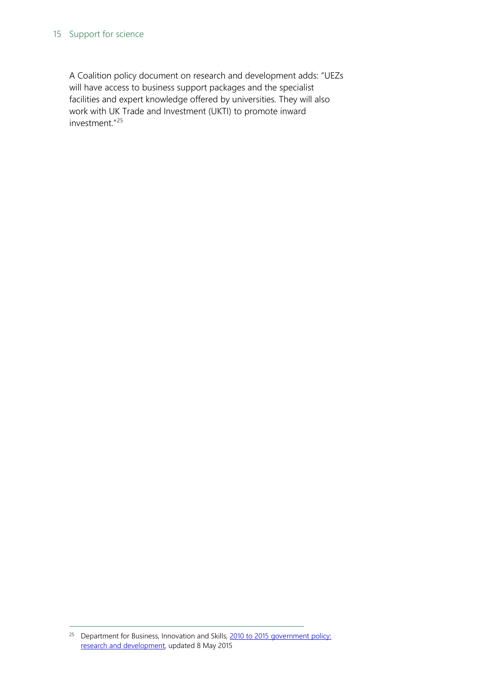#### 15 Support for science

A Coalition policy document on research and development adds: "UEZs will have access to business support packages and the specialist facilities and expert knowledge offered by universities. They will also work with UK Trade and Investment (UKTI) to promote inward investment."[25](#page-14-0)

<span id="page-14-0"></span><sup>&</sup>lt;sup>25</sup> Department for Business, Innovation and Skills, 2010 to 2015 government policy: [research and development,](https://www.gov.uk/government/publications/2010-to-2015-government-policy-research-and-development/2010-to-2015-government-policy-research-and-development%23appendix-5-university-enterprise-zones%20(accessed%2017%20June%202015)) updated 8 May 2015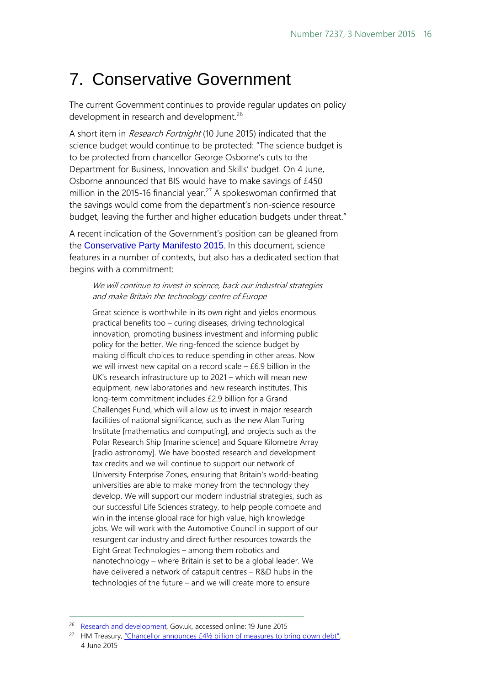### <span id="page-15-0"></span>7. Conservative Government

The current Government continues to provide regular updates on policy development in research and development.<sup>[26](#page-15-1)</sup>

A short item in Research Fortnight (10 June 2015) indicated that the science budget would continue to be protected: "The science budget is to be protected from chancellor George Osborne's cuts to the Department for Business, Innovation and Skills' budget. On 4 June, Osborne announced that BIS would have to make savings of £450 million in the 2015-16 financial year.<sup>[27](#page-15-2)</sup> A spokeswoman confirmed that the savings would come from the department's non-science resource budget, leaving the further and higher education budgets under threat."

A recent indication of the Government's position can be gleaned from the [Conservative Party Manifesto 2015](https://s3-eu-west-1.amazonaws.com/manifesto2015/ConservativeManifesto2015.pdf). In this document, science features in a number of contexts, but also has a dedicated section that begins with a commitment:

We will continue to invest in science, back our industrial strategies and make Britain the technology centre of Europe

Great science is worthwhile in its own right and yields enormous practical benefits too – curing diseases, driving technological innovation, promoting business investment and informing public policy for the better. We ring-fenced the science budget by making difficult choices to reduce spending in other areas. Now we will invest new capital on a record scale  $-$  £6.9 billion in the UK's research infrastructure up to 2021 – which will mean new equipment, new laboratories and new research institutes. This long-term commitment includes £2.9 billion for a Grand Challenges Fund, which will allow us to invest in major research facilities of national significance, such as the new Alan Turing Institute [mathematics and computing], and projects such as the Polar Research Ship [marine science] and Square Kilometre Array [radio astronomy]. We have boosted research and development tax credits and we will continue to support our network of University Enterprise Zones, ensuring that Britain's world-beating universities are able to make money from the technology they develop. We will support our modern industrial strategies, such as our successful Life Sciences strategy, to help people compete and win in the intense global race for high value, high knowledge jobs. We will work with the Automotive Council in support of our resurgent car industry and direct further resources towards the Eight Great Technologies – among them robotics and nanotechnology – where Britain is set to be a global leader. We have delivered a network of catapult centres – R&D hubs in the technologies of the future – and we will create more to ensure

<span id="page-15-1"></span><sup>&</sup>lt;sup>26</sup> [Research and development,](https://www.gov.uk/government/policies/research-and-development) Gov.uk, accessed online: 19 June 2015

<span id="page-15-2"></span><sup>&</sup>lt;sup>27</sup> HM Treasury, "Chancellor announces  $E4\frac{1}{2}$  billion of measures to bring down debt", 4 June 2015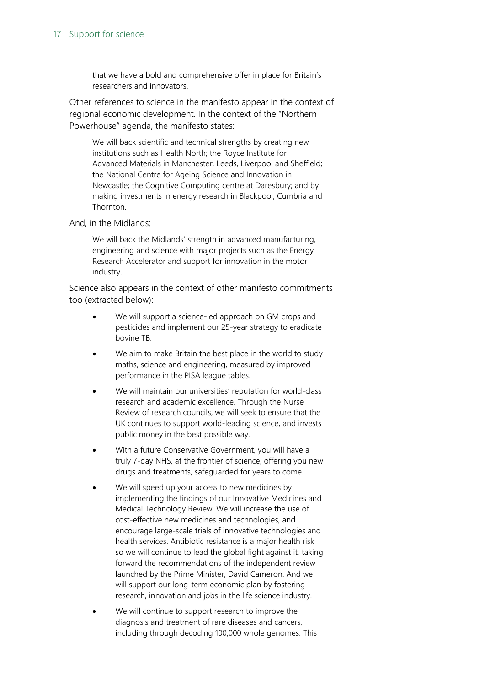#### 17 Support for science

that we have a bold and comprehensive offer in place for Britain's researchers and innovators.

Other references to science in the manifesto appear in the context of regional economic development. In the context of the "Northern Powerhouse" agenda, the manifesto states:

We will back scientific and technical strengths by creating new institutions such as Health North; the Royce Institute for Advanced Materials in Manchester, Leeds, Liverpool and Sheffield; the National Centre for Ageing Science and Innovation in Newcastle; the Cognitive Computing centre at Daresbury; and by making investments in energy research in Blackpool, Cumbria and Thornton.

And, in the Midlands:

We will back the Midlands' strength in advanced manufacturing, engineering and science with major projects such as the Energy Research Accelerator and support for innovation in the motor industry.

Science also appears in the context of other manifesto commitments too (extracted below):

- We will support a science-led approach on GM crops and pesticides and implement our 25-year strategy to eradicate bovine TB.
- We aim to make Britain the best place in the world to study maths, science and engineering, measured by improved performance in the PISA league tables.
- We will maintain our universities' reputation for world-class research and academic excellence. Through the Nurse Review of research councils, we will seek to ensure that the UK continues to support world-leading science, and invests public money in the best possible way.
- With a future Conservative Government, you will have a truly 7-day NHS, at the frontier of science, offering you new drugs and treatments, safeguarded for years to come.
- We will speed up your access to new medicines by implementing the findings of our Innovative Medicines and Medical Technology Review. We will increase the use of cost-effective new medicines and technologies, and encourage large-scale trials of innovative technologies and health services. Antibiotic resistance is a major health risk so we will continue to lead the global fight against it, taking forward the recommendations of the independent review launched by the Prime Minister, David Cameron. And we will support our long-term economic plan by fostering research, innovation and jobs in the life science industry.
- We will continue to support research to improve the diagnosis and treatment of rare diseases and cancers, including through decoding 100,000 whole genomes. This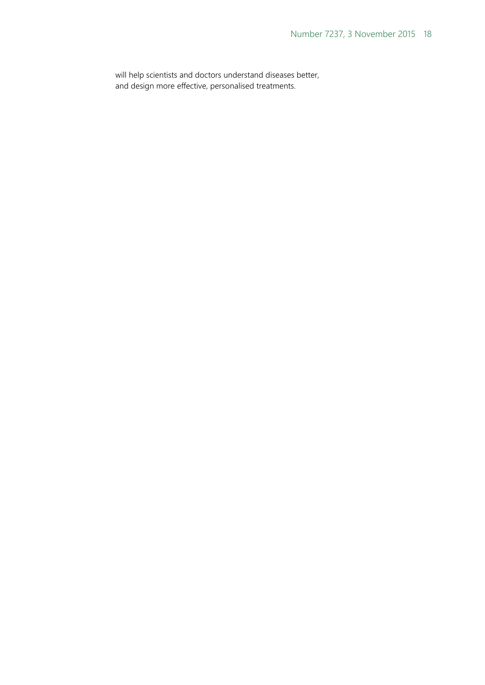will help scientists and doctors understand diseases better, and design more effective, personalised treatments.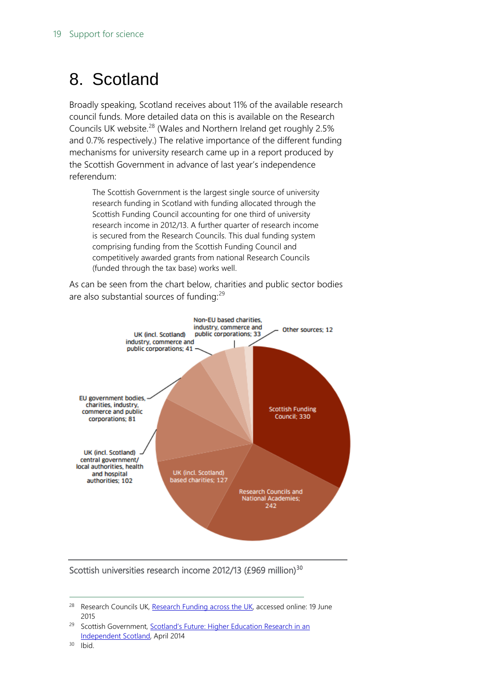### <span id="page-18-0"></span>8. Scotland

Broadly speaking, Scotland receives about 11% of the available research council funds. More detailed data on this is available on the Research Councils UK website.<sup>[28](#page-18-1)</sup> (Wales and Northern Ireland get roughly 2.5% and 0.7% respectively.) The relative importance of the different funding mechanisms for university research came up in a report produced by the Scottish Government in advance of last year's independence referendum:

The Scottish Government is the largest single source of university research funding in Scotland with funding allocated through the Scottish Funding Council accounting for one third of university research income in 2012/13. A further quarter of research income is secured from the Research Councils. This dual funding system comprising funding from the Scottish Funding Council and competitively awarded grants from national Research Councils (funded through the tax base) works well.

As can be seen from the chart below, charities and public sector bodies are also substantial sources of funding:<sup>[29](#page-18-2)</sup>



#### Scottish universities research income 2012/13 (£969 million)<sup>30</sup>

<span id="page-18-1"></span><sup>&</sup>lt;sup>28</sup> Research Councils UK[, Research Funding across the UK,](http://www.rcuk.ac.uk/about/aboutrcs/research-funding-across-the-uk/) accessed online: 19 June 2015

<span id="page-18-2"></span><sup>&</sup>lt;sup>29</sup> Scottish Government, **Scotland's Future: Higher Education Research in an** Independent [Scotland,](http://www.gov.scot/Resource/0044/00449224.pdf) April 2014 30 Ibid.

<span id="page-18-3"></span>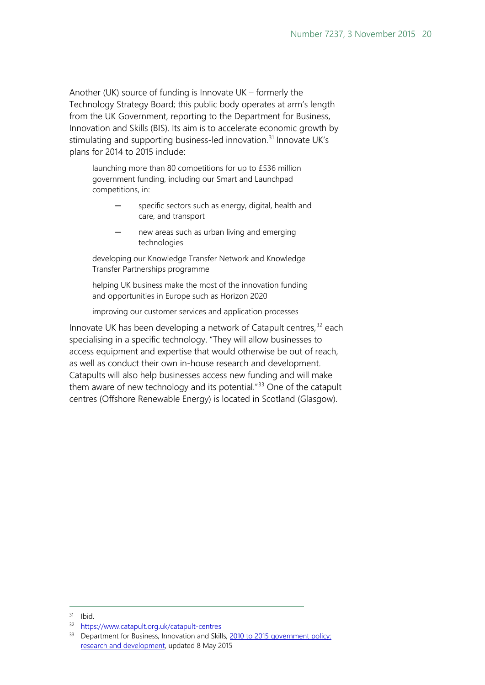Another (UK) source of funding is Innovate UK – formerly the Technology Strategy Board; this public body operates at arm's length from the UK Government, reporting to the Department for Business, Innovation and Skills (BIS). Its aim is to accelerate economic growth by stimulating and supporting business-led innovation.<sup>[31](#page-19-0)</sup> Innovate UK's plans for 2014 to 2015 include:

launching more than 80 competitions for up to £536 million government funding, including our Smart and Launchpad competitions, in:

- specific sectors such as energy, digital, health and care, and transport
- new areas such as urban living and emerging technologies

developing our Knowledge Transfer Network and Knowledge Transfer Partnerships programme

helping UK business make the most of the innovation funding and opportunities in Europe such as Horizon 2020

improving our customer services and application processes

Innovate UK has been developing a network of Catapult centres,<sup>[32](#page-19-1)</sup> each specialising in a specific technology. "They will allow businesses to access equipment and expertise that would otherwise be out of reach, as well as conduct their own in-house research and development. Catapults will also help businesses access new funding and will make them aware of new technology and its potential. $1^{33}$  $1^{33}$  $1^{33}$  One of the catapult centres (Offshore Renewable Energy) is located in Scotland (Glasgow).

<span id="page-19-1"></span><span id="page-19-0"></span> $31$  Ibid.

<sup>32</sup> <https://www.catapult.org.uk/catapult-centres>

<span id="page-19-2"></span><sup>&</sup>lt;sup>33</sup> Department for Business, Innovation and Skills, 2010 to 2015 government policy: [research and development,](https://www.gov.uk/government/publications/2010-to-2015-government-policy-research-and-development/2010-to-2015-government-policy-research-and-development) updated 8 May 2015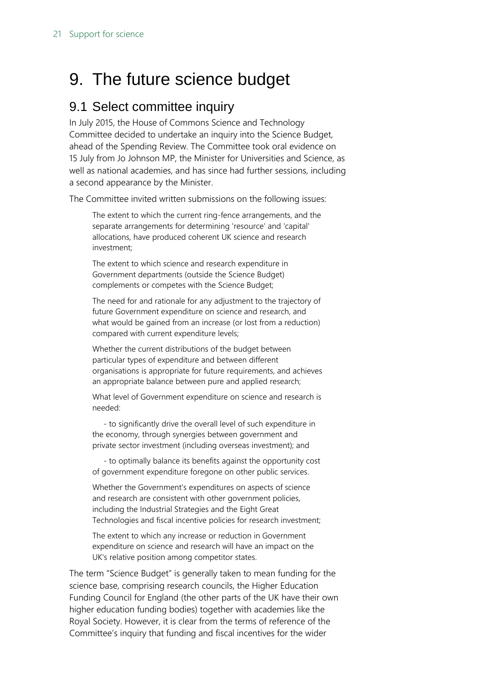### <span id="page-20-0"></span>9. The future science budget

#### <span id="page-20-1"></span>9.1 Select committee inquiry

In July 2015, the House of Commons Science and Technology Committee decided to undertake an inquiry into the Science Budget, ahead of the Spending Review. The Committee took oral evidence on 15 July from Jo Johnson MP, the Minister for Universities and Science, as well as national academies, and has since had further sessions, including a second appearance by the Minister.

The Committee invited written submissions on the following issues:

The extent to which the current ring-fence arrangements, and the separate arrangements for determining 'resource' and 'capital' allocations, have produced coherent UK science and research investment;

The extent to which science and research expenditure in Government departments (outside the Science Budget) complements or competes with the Science Budget;

The need for and rationale for any adjustment to the trajectory of future Government expenditure on science and research, and what would be gained from an increase (or lost from a reduction) compared with current expenditure levels;

Whether the current distributions of the budget between particular types of expenditure and between different organisations is appropriate for future requirements, and achieves an appropriate balance between pure and applied research;

What level of Government expenditure on science and research is needed:

 - to significantly drive the overall level of such expenditure in the economy, through synergies between government and private sector investment (including overseas investment); and

 - to optimally balance its benefits against the opportunity cost of government expenditure foregone on other public services.

Whether the Government's expenditures on aspects of science and research are consistent with other government policies, including the Industrial Strategies and the Eight Great Technologies and fiscal incentive policies for research investment;

The extent to which any increase or reduction in Government expenditure on science and research will have an impact on the UK's relative position among competitor states.

The term "Science Budget" is generally taken to mean funding for the science base, comprising research councils, the Higher Education Funding Council for England (the other parts of the UK have their own higher education funding bodies) together with academies like the Royal Society. However, it is clear from the terms of reference of the Committee's inquiry that funding and fiscal incentives for the wider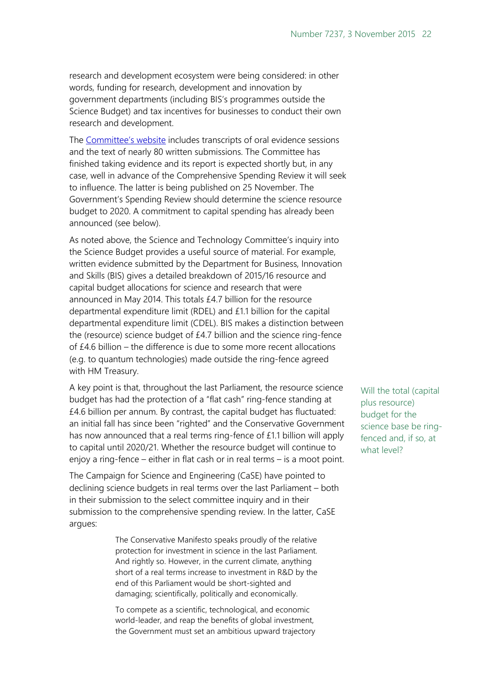research and development ecosystem were being considered: in other words, funding for research, development and innovation by government departments (including BIS's programmes outside the Science Budget) and tax incentives for businesses to conduct their own research and development.

The [Committee's website](http://www.parliament.uk/business/committees/committees-a-z/commons-select/science-and-technology-committee/inquiries/parliament-2015/the-science-budget1/) includes transcripts of oral evidence sessions and the text of nearly 80 written submissions. The Committee has finished taking evidence and its report is expected shortly but, in any case, well in advance of the Comprehensive Spending Review it will seek to influence. The latter is being published on 25 November. The Government's Spending Review should determine the science resource budget to 2020. A commitment to capital spending has already been announced (see below).

As noted above, the Science and Technology Committee's inquiry into the Science Budget provides a useful source of material. For example, written evidence submitted by the Department for Business, Innovation and Skills (BIS) gives a detailed breakdown of 2015/16 resource and capital budget allocations for science and research that were announced in May 2014. This totals £4.7 billion for the resource departmental expenditure limit (RDEL) and £1.1 billion for the capital departmental expenditure limit (CDEL). BIS makes a distinction between the (resource) science budget of £4.7 billion and the science ring-fence of £4.6 billion – the difference is due to some more recent allocations (e.g. to quantum technologies) made outside the ring-fence agreed with HM Treasury.

A key point is that, throughout the last Parliament, the resource science budget has had the protection of a "flat cash" ring-fence standing at £4.6 billion per annum. By contrast, the capital budget has fluctuated: an initial fall has since been "righted" and the Conservative Government has now announced that a real terms ring-fence of £1.1 billion will apply to capital until 2020/21. Whether the resource budget will continue to enjoy a ring-fence – either in flat cash or in real terms – is a moot point.

The Campaign for Science and Engineering (CaSE) have pointed to declining science budgets in real terms over the last Parliament – both in their submission to the select committee inquiry and in their submission to the comprehensive spending review. In the latter, CaSE argues:

> The Conservative Manifesto speaks proudly of the relative protection for investment in science in the last Parliament. And rightly so. However, in the current climate, anything short of a real terms increase to investment in R&D by the end of this Parliament would be short-sighted and damaging; scientifically, politically and economically.

To compete as a scientific, technological, and economic world-leader, and reap the benefits of global investment, the Government must set an ambitious upward trajectory Will the total (capital plus resource) budget for the science base be ringfenced and, if so, at what level?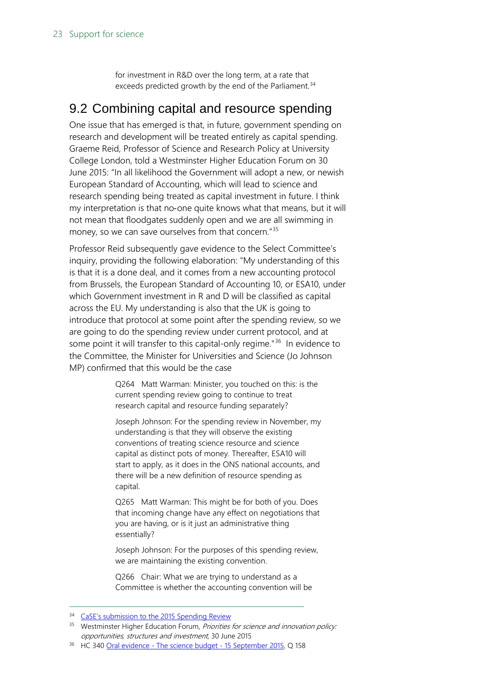for investment in R&D over the long term, at a rate that exceeds predicted growth by the end of the Parliament.<sup>[34](#page-22-1)</sup>

### <span id="page-22-0"></span>9.2 Combining capital and resource spending

One issue that has emerged is that, in future, government spending on research and development will be treated entirely as capital spending. Graeme Reid, Professor of Science and Research Policy at University College London, told a Westminster Higher Education Forum on 30 June 2015: "In all likelihood the Government will adopt a new, or newish European Standard of Accounting, which will lead to science and research spending being treated as capital investment in future. I think my interpretation is that no‐one quite knows what that means, but it will not mean that floodgates suddenly open and we are all swimming in money, so we can save ourselves from that concern."<sup>[35](#page-22-2)</sup>

Professor Reid subsequently gave evidence to the Select Committee's inquiry, providing the following elaboration: "My understanding of this is that it is a done deal, and it comes from a new accounting protocol from Brussels, the European Standard of Accounting 10, or ESA10, under which Government investment in R and D will be classified as capital across the EU. My understanding is also that the UK is going to introduce that protocol at some point after the spending review, so we are going to do the spending review under current protocol, and at some point it will transfer to this capital-only regime."<sup>[36](#page-22-3)</sup> In evidence to the Committee, the Minister for Universities and Science (Jo Johnson MP) confirmed that this would be the case

> Q264 Matt Warman: Minister, you touched on this: is the current spending review going to continue to treat research capital and resource funding separately?

Joseph Johnson: For the spending review in November, my understanding is that they will observe the existing conventions of treating science resource and science capital as distinct pots of money. Thereafter, ESA10 will start to apply, as it does in the ONS national accounts, and there will be a new definition of resource spending as capital.

Q265 Matt Warman: This might be for both of you. Does that incoming change have any effect on negotiations that you are having, or is it just an administrative thing essentially?

Joseph Johnson: For the purposes of this spending review, we are maintaining the existing convention.

Q266 Chair: What we are trying to understand as a Committee is whether the accounting convention will be

<span id="page-22-2"></span><span id="page-22-1"></span><sup>&</sup>lt;sup>34</sup> [CaSE's submission to the 2015 Spending Review](http://sciencecampaign.org.uk/?p=18448)

<sup>&</sup>lt;sup>35</sup> Westminster Higher Education Forum, Priorities for science and innovation policy: opportunities, structures and investment, 30 June 2015

<span id="page-22-3"></span><sup>&</sup>lt;sup>36</sup> HC 340 Oral evidence - [The science budget -](http://data.parliament.uk/writtenevidence/committeeevidence.svc/evidencedocument/science-and-technology-committee/the-science-budget/oral/21808.html) 15 September 2015, Q 158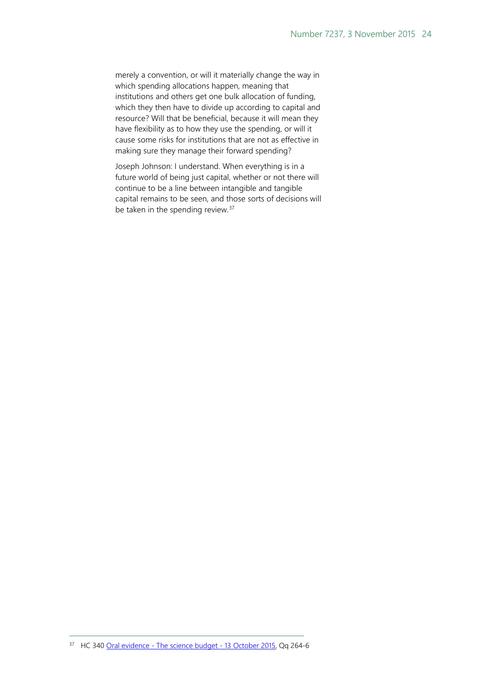merely a convention, or will it materially change the way in which spending allocations happen, meaning that institutions and others get one bulk allocation of funding, which they then have to divide up according to capital and resource? Will that be beneficial, because it will mean they have flexibility as to how they use the spending, or will it cause some risks for institutions that are not as effective in making sure they manage their forward spending?

Joseph Johnson: I understand. When everything is in a future world of being just capital, whether or not there will continue to be a line between intangible and tangible capital remains to be seen, and those sorts of decisions will be taken in the spending review.<sup>[37](#page-23-0)</sup>

<span id="page-23-0"></span><sup>37</sup> HC 340 Oral evidence - [The science budget -](http://data.parliament.uk/writtenevidence/committeeevidence.svc/evidencedocument/science-and-technology-committee/the-science-budget/oral/23188.html) 13 October 2015, Qq 264-6